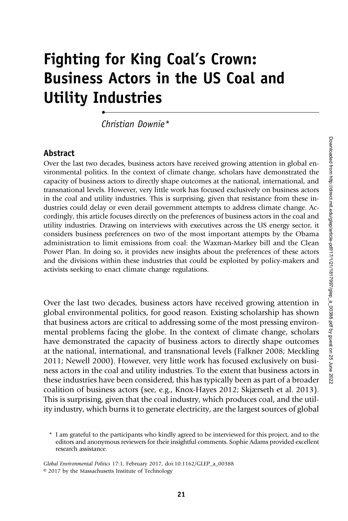# Fighting for King Coal's Crown: Business Actors in the US Coal and Utility Industries

Christian Downie\*

•

#### Abstract

Over the last two decades, business actors have received growing attention in global environmental politics. In the context of climate change, scholars have demonstrated the capacity of business actors to directly shape outcomes at the national, international, and transnational levels. However, very little work has focused exclusively on business actors in the coal and utility industries. This is surprising, given that resistance from these industries could delay or even derail government attempts to address climate change. Accordingly, this article focuses directly on the preferences of business actors in the coal and utility industries. Drawing on interviews with executives across the US energy sector, it considers business preferences on two of the most important attempts by the Obama administration to limit emissions from coal: the Waxman-Markey bill and the Clean Power Plan. In doing so, it provides new insights about the preferences of these actors and the divisions within these industries that could be exploited by policy-makers and activists seeking to enact climate change regulations.

Over the last two decades, business actors have received growing attention in global environmental politics, for good reason. Existing scholarship has shown that business actors are critical to addressing some of the most pressing environmental problems facing the globe. In the context of climate change, scholars have demonstrated the capacity of business actors to directly shape outcomes at the national, international, and transnational levels (Falkner 2008; Meckling 2011; Newell 2000). However, very little work has focused exclusively on business actors in the coal and utility industries. To the extent that business actors in these industries have been considered, this has typically been as part of a broader coalition of business actors (see, e.g., Knox-Hayes 2012; Skjærseth et al. 2013). This is surprising, given that the coal industry, which produces coal, and the utility industry, which burns it to generate electricity, are the largest sources of global

\* I am grateful to the participants who kindly agreed to be interviewed for this project, and to the editors and anonymous reviewers for their insightful comments. Sophie Adams provided excellent research assistance.

Global Environmental Politics 17:1, February 2017, doi:10.1162/GLEP\_a\_00388 © 2017 by the Massachusetts Institute of Technology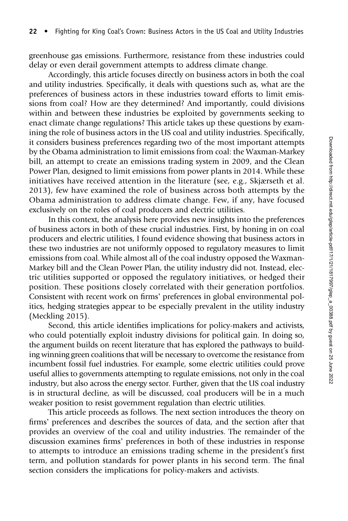greenhouse gas emissions. Furthermore, resistance from these industries could delay or even derail government attempts to address climate change.

Accordingly, this article focuses directly on business actors in both the coal and utility industries. Specifically, it deals with questions such as, what are the preferences of business actors in these industries toward efforts to limit emissions from coal? How are they determined? And importantly, could divisions within and between these industries be exploited by governments seeking to enact climate change regulations? This article takes up these questions by examining the role of business actors in the US coal and utility industries. Specifically, it considers business preferences regarding two of the most important attempts by the Obama administration to limit emissions from coal: the Waxman-Markey bill, an attempt to create an emissions trading system in 2009, and the Clean Power Plan, designed to limit emissions from power plants in 2014. While these initiatives have received attention in the literature (see, e.g., Skjærseth et al. 2013), few have examined the role of business across both attempts by the Obama administration to address climate change. Few, if any, have focused exclusively on the roles of coal producers and electric utilities.

In this context, the analysis here provides new insights into the preferences of business actors in both of these crucial industries. First, by honing in on coal producers and electric utilities, I found evidence showing that business actors in these two industries are not uniformly opposed to regulatory measures to limit emissions from coal. While almost all of the coal industry opposed the Waxman-Markey bill and the Clean Power Plan, the utility industry did not. Instead, electric utilities supported or opposed the regulatory initiatives, or hedged their position. These positions closely correlated with their generation portfolios. Consistent with recent work on firms' preferences in global environmental politics, hedging strategies appear to be especially prevalent in the utility industry (Meckling 2015).

Second, this article identifies implications for policy-makers and activists, who could potentially exploit industry divisions for political gain. In doing so, the argument builds on recent literature that has explored the pathways to building winning green coalitions that will be necessary to overcome the resistance from incumbent fossil fuel industries. For example, some electric utilities could prove useful allies to governments attempting to regulate emissions, not only in the coal industry, but also across the energy sector. Further, given that the US coal industry is in structural decline, as will be discussed, coal producers will be in a much weaker position to resist government regulation than electric utilities.

This article proceeds as follows. The next section introduces the theory on firms' preferences and describes the sources of data, and the section after that provides an overview of the coal and utility industries. The remainder of the discussion examines firms' preferences in both of these industries in response to attempts to introduce an emissions trading scheme in the president's first term, and pollution standards for power plants in his second term. The final section considers the implications for policy-makers and activists.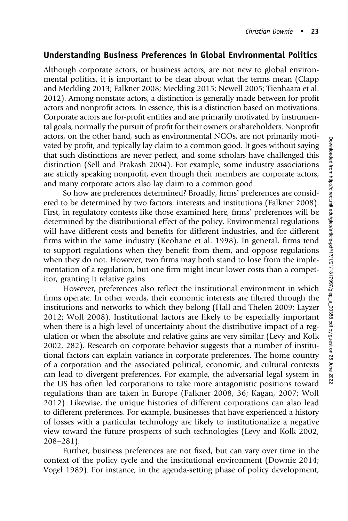# Understanding Business Preferences in Global Environmental Politics

Although corporate actors, or business actors, are not new to global environmental politics, it is important to be clear about what the terms mean (Clapp and Meckling 2013; Falkner 2008; Meckling 2015; Newell 2005; Tienhaara et al. 2012). Among nonstate actors, a distinction is generally made between for-profit actors and nonprofit actors. In essence, this is a distinction based on motivations. Corporate actors are for-profit entities and are primarily motivated by instrumental goals, normally the pursuit of profit for their owners or shareholders. Nonprofit actors, on the other hand, such as environmental NGOs, are not primarily motivated by profit, and typically lay claim to a common good. It goes without saying that such distinctions are never perfect, and some scholars have challenged this distinction (Sell and Prakash 2004). For example, some industry associations are strictly speaking nonprofit, even though their members are corporate actors, and many corporate actors also lay claim to a common good.

So how are preferences determined? Broadly, firms' preferences are considered to be determined by two factors: interests and institutions (Falkner 2008). First, in regulatory contests like those examined here, firms' preferences will be determined by the distributional effect of the policy. Environmental regulations will have different costs and benefits for different industries, and for different firms within the same industry (Keohane et al. 1998). In general, firms tend to support regulations when they benefit from them, and oppose regulations when they do not. However, two firms may both stand to lose from the implementation of a regulation, but one firm might incur lower costs than a competitor, granting it relative gains.

However, preferences also reflect the institutional environment in which firms operate. In other words, their economic interests are filtered through the institutions and networks to which they belong (Hall and Thelen 2009; Layzer 2012; Woll 2008). Institutional factors are likely to be especially important when there is a high level of uncertainty about the distributive impact of a regulation or when the absolute and relative gains are very similar (Levy and Kolk 2002, 282). Research on corporate behavior suggests that a number of institutional factors can explain variance in corporate preferences. The home country of a corporation and the associated political, economic, and cultural contexts can lead to divergent preferences. For example, the adversarial legal system in the US has often led corporations to take more antagonistic positions toward regulations than are taken in Europe (Falkner 2008, 36; Kagan, 2007; Woll 2012). Likewise, the unique histories of different corporations can also lead to different preferences. For example, businesses that have experienced a history of losses with a particular technology are likely to institutionalize a negative view toward the future prospects of such technologies (Levy and Kolk 2002, 208–281).

Further, business preferences are not fixed, but can vary over time in the context of the policy cycle and the institutional environment (Downie 2014; Vogel 1989). For instance, in the agenda-setting phase of policy development,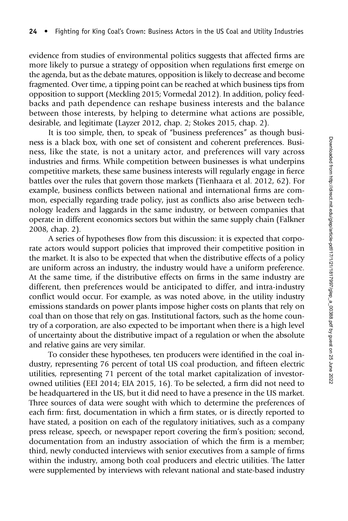evidence from studies of environmental politics suggests that affected firms are more likely to pursue a strategy of opposition when regulations first emerge on the agenda, but as the debate matures, opposition is likely to decrease and become fragmented. Over time, a tipping point can be reached at which business tips from opposition to support (Meckling 2015; Vormedal 2012). In addition, policy feedbacks and path dependence can reshape business interests and the balance between those interests, by helping to determine what actions are possible, desirable, and legitimate (Layzer 2012, chap. 2; Stokes 2015, chap. 2).

It is too simple, then, to speak of "business preferences" as though business is a black box, with one set of consistent and coherent preferences. Business, like the state, is not a unitary actor, and preferences will vary across industries and firms. While competition between businesses is what underpins competitive markets, these same business interests will regularly engage in fierce battles over the rules that govern those markets (Tienhaara et al. 2012, 62). For example, business conflicts between national and international firms are common, especially regarding trade policy, just as conflicts also arise between technology leaders and laggards in the same industry, or between companies that operate in different economics sectors but within the same supply chain (Falkner 2008, chap. 2).

A series of hypotheses flow from this discussion: it is expected that corporate actors would support policies that improved their competitive position in the market. It is also to be expected that when the distributive effects of a policy are uniform across an industry, the industry would have a uniform preference. At the same time, if the distributive effects on firms in the same industry are different, then preferences would be anticipated to differ, and intra-industry conflict would occur. For example, as was noted above, in the utility industry emissions standards on power plants impose higher costs on plants that rely on coal than on those that rely on gas. Institutional factors, such as the home country of a corporation, are also expected to be important when there is a high level of uncertainty about the distributive impact of a regulation or when the absolute and relative gains are very similar.

To consider these hypotheses, ten producers were identified in the coal industry, representing 76 percent of total US coal production, and fifteen electric utilities, representing 71 percent of the total market capitalization of investorowned utilities (EEI 2014; EIA 2015, 16). To be selected, a firm did not need to be headquartered in the US, but it did need to have a presence in the US market. Three sources of data were sought with which to determine the preferences of each firm: first, documentation in which a firm states, or is directly reported to have stated, a position on each of the regulatory initiatives, such as a company press release, speech, or newspaper report covering the firm's position; second, documentation from an industry association of which the firm is a member; third, newly conducted interviews with senior executives from a sample of firms within the industry, among both coal producers and electric utilities. The latter were supplemented by interviews with relevant national and state-based industry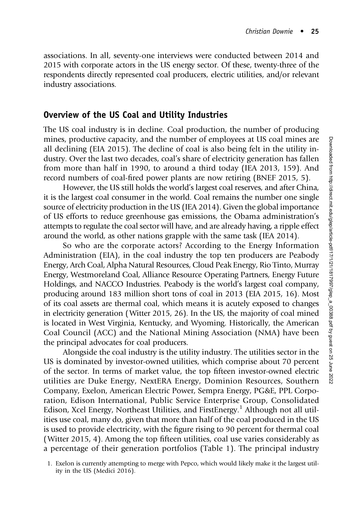associations. In all, seventy-one interviews were conducted between 2014 and 2015 with corporate actors in the US energy sector. Of these, twenty-three of the respondents directly represented coal producers, electric utilities, and/or relevant industry associations.

#### Overview of the US Coal and Utility Industries

The US coal industry is in decline. Coal production, the number of producing mines, productive capacity, and the number of employees at US coal mines are all declining (EIA 2015). The decline of coal is also being felt in the utility industry. Over the last two decades, coal's share of electricity generation has fallen from more than half in 1990, to around a third today (IEA 2013, 159). And record numbers of coal-fired power plants are now retiring (BNEF 2015, 5).

However, the US still holds the world's largest coal reserves, and after China, it is the largest coal consumer in the world. Coal remains the number one single source of electricity production in the US (IEA 2014). Given the global importance of US efforts to reduce greenhouse gas emissions, the Obama administration's attempts to regulate the coal sector will have, and are already having, a ripple effect around the world, as other nations grapple with the same task (IEA 2014).

So who are the corporate actors? According to the Energy Information Administration (EIA), in the coal industry the top ten producers are Peabody Energy, Arch Coal, Alpha Natural Resources, Cloud Peak Energy, Rio Tinto, Murray Energy, Westmoreland Coal, Alliance Resource Operating Partners, Energy Future Holdings, and NACCO Industries. Peabody is the world's largest coal company, producing around 183 million short tons of coal in 2013 (EIA 2015, 16). Most of its coal assets are thermal coal, which means it is acutely exposed to changes in electricity generation (Witter 2015, 26). In the US, the majority of coal mined is located in West Virginia, Kentucky, and Wyoming. Historically, the American Coal Council (ACC) and the National Mining Association (NMA) have been the principal advocates for coal producers.

Alongside the coal industry is the utility industry. The utilities sector in the US is dominated by investor-owned utilities, which comprise about 70 percent of the sector. In terms of market value, the top fifteen investor-owned electric utilities are Duke Energy, NextERA Energy, Dominion Resources, Southern Company, Exelon, American Electric Power, Sempra Energy, PG&E, PPL Corporation, Edison International, Public Service Enterprise Group, Consolidated Edison, Xcel Energy, Northeast Utilities, and FirstEnergy.<sup>1</sup> Although not all utilities use coal, many do, given that more than half of the coal produced in the US is used to provide electricity, with the figure rising to 90 percent for thermal coal (Witter 2015, 4). Among the top fifteen utilities, coal use varies considerably as a percentage of their generation portfolios (Table 1). The principal industry

<sup>1.</sup> Exelon is currently attempting to merge with Pepco, which would likely make it the largest utility in the US (Medici 2016).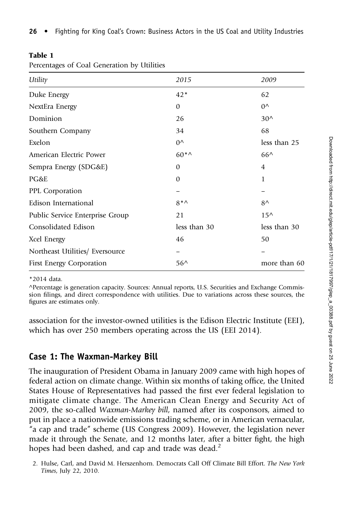| ı<br>۰.<br>٧<br>۰, |  |
|--------------------|--|
|--------------------|--|

Percentages of Coal Generation by Utilities

| Utility                         | 2015          | 2009          |
|---------------------------------|---------------|---------------|
| Duke Energy                     | $42*$         | 62            |
| NextEra Energy                  | $\Omega$      | $0^{\wedge}$  |
| Dominion                        | 26            | $30^$         |
| Southern Company                | 34            | 68            |
| Exelon                          | $0^{\wedge}$  | less than 25  |
| American Electric Power         | $60^{*}$      | $66^{\wedge}$ |
| Sempra Energy (SDG&E)           | $\mathbf{0}$  | 4             |
| PG&E                            | $\Omega$      | 1             |
| PPL Corporation                 |               |               |
| Edison International            | $8^*$         | $8^{\wedge}$  |
| Public Service Enterprise Group | 21            | $15^{\wedge}$ |
| Consolidated Edison             | less than 30  | less than 30  |
| Xcel Energy                     | 46            | 50            |
| Northeast Utilities/ Eversource |               |               |
| First Energy Corporation        | $56^{\wedge}$ | more than 60  |

\*2014 data.

^Percentage is generation capacity. Sources: Annual reports, U.S. Securities and Exchange Commission filings, and direct correspondence with utilities. Due to variations across these sources, the figures are estimates only.

association for the investor-owned utilities is the Edison Electric Institute (EEI), which has over 250 members operating across the US (EEI 2014).

# Case 1: The Waxman-Markey Bill

The inauguration of President Obama in January 2009 came with high hopes of federal action on climate change. Within six months of taking office, the United States House of Representatives had passed the first ever federal legislation to mitigate climate change. The American Clean Energy and Security Act of 2009, the so-called Waxman-Markey bill, named after its cosponsors, aimed to put in place a nationwide emissions trading scheme, or in American vernacular, "a cap and trade" scheme (US Congress 2009). However, the legislation never made it through the Senate, and 12 months later, after a bitter fight, the high hopes had been dashed, and cap and trade was dead.<sup>2</sup>

<sup>2.</sup> Hulse, Carl, and David M. Herszenhorn. Democrats Call Off Climate Bill Effort. The New York Times, July 22, 2010.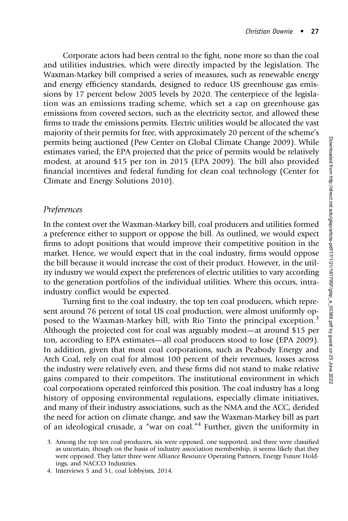Corporate actors had been central to the fight, none more so than the coal and utilities industries, which were directly impacted by the legislation. The Waxman-Markey bill comprised a series of measures, such as renewable energy and energy efficiency standards, designed to reduce US greenhouse gas emissions by 17 percent below 2005 levels by 2020. The centerpiece of the legislation was an emissions trading scheme, which set a cap on greenhouse gas emissions from covered sectors, such as the electricity sector, and allowed these firms to trade the emissions permits. Electric utilities would be allocated the vast majority of their permits for free, with approximately 20 percent of the scheme's permits being auctioned (Pew Center on Global Climate Change 2009). While estimates varied, the EPA projected that the price of permits would be relatively modest, at around \$15 per ton in 2015 (EPA 2009). The bill also provided financial incentives and federal funding for clean coal technology (Center for Climate and Energy Solutions 2010).

#### Preferences

In the contest over the Waxman-Markey bill, coal producers and utilities formed a preference either to support or oppose the bill. As outlined, we would expect firms to adopt positions that would improve their competitive position in the market. Hence, we would expect that in the coal industry, firms would oppose the bill because it would increase the cost of their product. However, in the utility industry we would expect the preferences of electric utilities to vary according to the generation portfolios of the individual utilities. Where this occurs, intraindustry conflict would be expected.

Turning first to the coal industry, the top ten coal producers, which represent around 76 percent of total US coal production, were almost uniformly opposed to the Waxman-Markey bill, with Rio Tinto the principal exception.<sup>3</sup> Although the projected cost for coal was arguably modest—at around \$15 per ton, according to EPA estimates—all coal producers stood to lose (EPA 2009). In addition, given that most coal corporations, such as Peabody Energy and Arch Coal, rely on coal for almost 100 percent of their revenues, losses across the industry were relatively even, and these firms did not stand to make relative gains compared to their competitors. The institutional environment in which coal corporations operated reinforced this position. The coal industry has a long history of opposing environmental regulations, especially climate initiatives, and many of their industry associations, such as the NMA and the ACC, derided the need for action on climate change, and saw the Waxman-Markey bill as part of an ideological crusade, a "war on coal." <sup>4</sup> Further, given the uniformity in

<sup>3.</sup> Among the top ten coal producers, six were opposed, one supported, and three were classified as uncertain, though on the basis of industry association membership, it seems likely that they were opposed. They latter three were Alliance Resource Operating Partners, Energy Future Holdings, and NACCO Industries.

<sup>4.</sup> Interviews 5 and 51, coal lobbyists, 2014.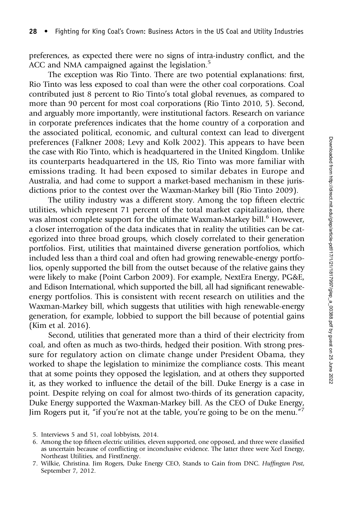preferences, as expected there were no signs of intra-industry conflict, and the ACC and NMA campaigned against the legislation.<sup>5</sup>

The exception was Rio Tinto. There are two potential explanations: first, Rio Tinto was less exposed to coal than were the other coal corporations. Coal contributed just 8 percent to Rio Tinto's total global revenues, as compared to more than 90 percent for most coal corporations (Rio Tinto 2010, 5). Second, and arguably more importantly, were institutional factors. Research on variance in corporate preferences indicates that the home country of a corporation and the associated political, economic, and cultural context can lead to divergent preferences (Falkner 2008; Levy and Kolk 2002). This appears to have been the case with Rio Tinto, which is headquartered in the United Kingdom. Unlike its counterparts headquartered in the US, Rio Tinto was more familiar with emissions trading. It had been exposed to similar debates in Europe and Australia, and had come to support a market-based mechanism in these jurisdictions prior to the contest over the Waxman-Markey bill (Rio Tinto 2009).

The utility industry was a different story. Among the top fifteen electric utilities, which represent 71 percent of the total market capitalization, there was almost complete support for the ultimate Waxman-Markey bill.<sup>6</sup> However, a closer interrogation of the data indicates that in reality the utilities can be categorized into three broad groups, which closely correlated to their generation portfolios. First, utilities that maintained diverse generation portfolios, which included less than a third coal and often had growing renewable-energy portfolios, openly supported the bill from the outset because of the relative gains they were likely to make (Point Carbon 2009). For example, NextEra Energy, PG&E, and Edison International, which supported the bill, all had significant renewableenergy portfolios. This is consistent with recent research on utilities and the Waxman-Markey bill, which suggests that utilities with high renewable-energy generation, for example, lobbied to support the bill because of potential gains (Kim et al. 2016).

Second, utilities that generated more than a third of their electricity from coal, and often as much as two-thirds, hedged their position. With strong pressure for regulatory action on climate change under President Obama, they worked to shape the legislation to minimize the compliance costs. This meant that at some points they opposed the legislation, and at others they supported it, as they worked to influence the detail of the bill. Duke Energy is a case in point. Despite relying on coal for almost two-thirds of its generation capacity, Duke Energy supported the Waxman-Markey bill. As the CEO of Duke Energy, Jim Rogers put it, "if you're not at the table, you're going to be on the menu."<sup>7</sup>

<sup>5.</sup> Interviews 5 and 51, coal lobbyists, 2014.

<sup>6.</sup> Among the top fifteen electric utilities, eleven supported, one opposed, and three were classified as uncertain because of conflicting or inconclusive evidence. The latter three were Xcel Energy, Northeast Utilities, and FirstEnergy.

<sup>7.</sup> Wilkie, Christina. Jim Rogers, Duke Energy CEO, Stands to Gain from DNC. Huffington Post, September 7, 2012.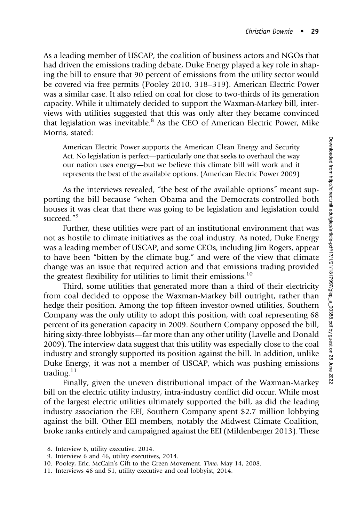As a leading member of USCAP, the coalition of business actors and NGOs that had driven the emissions trading debate, Duke Energy played a key role in shaping the bill to ensure that 90 percent of emissions from the utility sector would be covered via free permits (Pooley 2010, 318–319). American Electric Power was a similar case. It also relied on coal for close to two-thirds of its generation capacity. While it ultimately decided to support the Waxman-Markey bill, interviews with utilities suggested that this was only after they became convinced that legislation was inevitable. $8$  As the CEO of American Electric Power, Mike Morris, stated:

American Electric Power supports the American Clean Energy and Security Act. No legislation is perfect—particularly one that seeks to overhaul the way our nation uses energy—but we believe this climate bill will work and it represents the best of the available options. (American Electric Power 2009)

As the interviews revealed, "the best of the available options" meant supporting the bill because "when Obama and the Democrats controlled both houses it was clear that there was going to be legislation and legislation could succeed."<sup>9</sup>

Further, these utilities were part of an institutional environment that was not as hostile to climate initiatives as the coal industry. As noted, Duke Energy was a leading member of USCAP, and some CEOs, including Jim Rogers, appear to have been "bitten by the climate bug," and were of the view that climate change was an issue that required action and that emissions trading provided the greatest flexibility for utilities to limit their emissions.<sup>10</sup>

Third, some utilities that generated more than a third of their electricity from coal decided to oppose the Waxman-Markey bill outright, rather than hedge their position. Among the top fifteen investor-owned utilities, Southern Company was the only utility to adopt this position, with coal representing 68 percent of its generation capacity in 2009. Southern Company opposed the bill, hiring sixty-three lobbyists—far more than any other utility (Lavelle and Donald 2009). The interview data suggest that this utility was especially close to the coal industry and strongly supported its position against the bill. In addition, unlike Duke Energy, it was not a member of USCAP, which was pushing emissions trading.<sup>11</sup>

Finally, given the uneven distributional impact of the Waxman-Markey bill on the electric utility industry, intra-industry conflict did occur. While most of the largest electric utilities ultimately supported the bill, as did the leading industry association the EEI, Southern Company spent \$2.7 million lobbying against the bill. Other EEI members, notably the Midwest Climate Coalition, broke ranks entirely and campaigned against the EEI (Mildenberger 2013). These

<sup>8.</sup> Interview 6, utility executive, 2014.

<sup>9.</sup> Interview 6 and 46, utility executives, 2014.

<sup>10.</sup> Pooley, Eric. McCain's Gift to the Green Movement. Time, May 14, 2008.

<sup>11.</sup> Interviews 46 and 51, utility executive and coal lobbyist, 2014.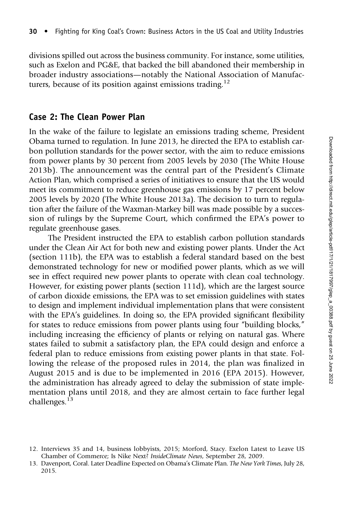divisions spilled out across the business community. For instance, some utilities, such as Exelon and PG&E, that backed the bill abandoned their membership in broader industry associations—notably the National Association of Manufacturers, because of its position against emissions trading.<sup>12</sup>

#### Case 2: The Clean Power Plan

In the wake of the failure to legislate an emissions trading scheme, President Obama turned to regulation. In June 2013, he directed the EPA to establish carbon pollution standards for the power sector, with the aim to reduce emissions from power plants by 30 percent from 2005 levels by 2030 (The White House 2013b). The announcement was the central part of the President's Climate Action Plan, which comprised a series of initiatives to ensure that the US would meet its commitment to reduce greenhouse gas emissions by 17 percent below 2005 levels by 2020 (The White House 2013a). The decision to turn to regulation after the failure of the Waxman-Markey bill was made possible by a succession of rulings by the Supreme Court, which confirmed the EPA's power to regulate greenhouse gases.

The President instructed the EPA to establish carbon pollution standards under the Clean Air Act for both new and existing power plants. Under the Act (section 111b), the EPA was to establish a federal standard based on the best demonstrated technology for new or modified power plants, which as we will see in effect required new power plants to operate with clean coal technology. However, for existing power plants (section 111d), which are the largest source of carbon dioxide emissions, the EPA was to set emission guidelines with states to design and implement individual implementation plans that were consistent with the EPA's guidelines. In doing so, the EPA provided significant flexibility for states to reduce emissions from power plants using four "building blocks," including increasing the efficiency of plants or relying on natural gas. Where states failed to submit a satisfactory plan, the EPA could design and enforce a federal plan to reduce emissions from existing power plants in that state. Following the release of the proposed rules in 2014, the plan was finalized in August 2015 and is due to be implemented in 2016 (EPA 2015). However, the administration has already agreed to delay the submission of state implementation plans until 2018, and they are almost certain to face further legal challenges.<sup>13</sup>

<sup>12.</sup> Interviews 35 and 14, business lobbyists, 2015; Morford, Stacy. Exelon Latest to Leave US Chamber of Commerce; Is Nike Next? InsideClimate News, September 28, 2009.

<sup>13.</sup> Davenport, Coral. Later Deadline Expected on Obama's Climate Plan. The New York Times, July 28, 2015.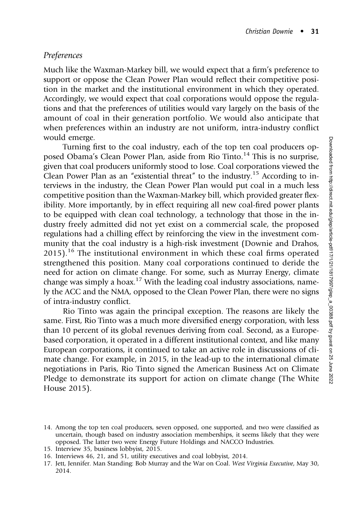## Preferences

Much like the Waxman-Markey bill, we would expect that a firm's preference to support or oppose the Clean Power Plan would reflect their competitive position in the market and the institutional environment in which they operated. Accordingly, we would expect that coal corporations would oppose the regulations and that the preferences of utilities would vary largely on the basis of the amount of coal in their generation portfolio. We would also anticipate that when preferences within an industry are not uniform, intra-industry conflict would emerge.

Turning first to the coal industry, each of the top ten coal producers opposed Obama's Clean Power Plan, aside from Rio Tinto.<sup>14</sup> This is no surprise, given that coal producers uniformly stood to lose. Coal corporations viewed the Clean Power Plan as an "existential threat" to the industry.<sup>15</sup> According to interviews in the industry, the Clean Power Plan would put coal in a much less competitive position than the Waxman-Markey bill, which provided greater flexibility. More importantly, by in effect requiring all new coal-fired power plants to be equipped with clean coal technology, a technology that those in the industry freely admitted did not yet exist on a commercial scale, the proposed regulations had a chilling effect by reinforcing the view in the investment community that the coal industry is a high-risk investment (Downie and Drahos, 2015).<sup>16</sup> The institutional environment in which these coal firms operated strengthened this position. Many coal corporations continued to deride the need for action on climate change. For some, such as Murray Energy, climate change was simply a hoax.<sup>17</sup> With the leading coal industry associations, namely the ACC and the NMA, opposed to the Clean Power Plan, there were no signs of intra-industry conflict.

Rio Tinto was again the principal exception. The reasons are likely the same. First, Rio Tinto was a much more diversified energy corporation, with less than 10 percent of its global revenues deriving from coal. Second, as a Europebased corporation, it operated in a different institutional context, and like many European corporations, it continued to take an active role in discussions of climate change. For example, in 2015, in the lead-up to the international climate negotiations in Paris, Rio Tinto signed the American Business Act on Climate Pledge to demonstrate its support for action on climate change (The White House 2015).

<sup>14.</sup> Among the top ten coal producers, seven opposed, one supported, and two were classified as uncertain, though based on industry association memberships, it seems likely that they were opposed. The latter two were Energy Future Holdings and NACCO Industries.

<sup>15.</sup> Interview 35, business lobbyist, 2015.

<sup>16.</sup> Interviews 46, 21, and 51, utility executives and coal lobbyist, 2014.

<sup>17.</sup> Jett, Jennifer. Man Standing: Bob Murray and the War on Coal. West Virginia Executive, May 30, 2014.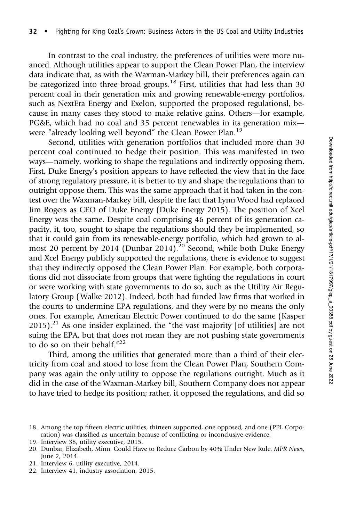In contrast to the coal industry, the preferences of utilities were more nuanced. Although utilities appear to support the Clean Power Plan, the interview data indicate that, as with the Waxman-Markey bill, their preferences again can be categorized into three broad groups.<sup>18</sup> First, utilities that had less than 30 percent coal in their generation mix and growing renewable-energy portfolios, such as NextEra Energy and Exelon, supported the proposed regulationsl, because in many cases they stood to make relative gains. Others—for example, PG&E, which had no coal and 35 percent renewables in its generation mix were "already looking well beyond" the Clean Power Plan.<sup>19</sup>

Second, utilities with generation portfolios that included more than 30 percent coal continued to hedge their position. This was manifested in two ways—namely, working to shape the regulations and indirectly opposing them. First, Duke Energy's position appears to have reflected the view that in the face of strong regulatory pressure, it is better to try and shape the regulations than to outright oppose them. This was the same approach that it had taken in the contest over the Waxman-Markey bill, despite the fact that Lynn Wood had replaced Jim Rogers as CEO of Duke Energy (Duke Energy 2015). The position of Xcel Energy was the same. Despite coal comprising 46 percent of its generation capacity, it, too, sought to shape the regulations should they be implemented, so that it could gain from its renewable-energy portfolio, which had grown to almost 20 percent by 2014 (Dunbar 2014).<sup>20</sup> Second, while both Duke Energy and Xcel Energy publicly supported the regulations, there is evidence to suggest that they indirectly opposed the Clean Power Plan. For example, both corporations did not dissociate from groups that were fighting the regulations in court or were working with state governments to do so, such as the Utility Air Regulatory Group (Walke 2012). Indeed, both had funded law firms that worked in the courts to undermine EPA regulations, and they were by no means the only ones. For example, American Electric Power continued to do the same (Kasper 2015).<sup>21</sup> As one insider explained, the "the vast majority [of utilities] are not suing the EPA, but that does not mean they are not pushing state governments to do so on their behalf." 22

Third, among the utilities that generated more than a third of their electricity from coal and stood to lose from the Clean Power Plan, Southern Company was again the only utility to oppose the regulations outright. Much as it did in the case of the Waxman-Markey bill, Southern Company does not appear to have tried to hedge its position; rather, it opposed the regulations, and did so

- 19. Interview 38, utility executive, 2015.
- 20. Dunbar, Elizabeth, Minn. Could Have to Reduce Carbon by 40% Under New Rule. MPR News, June 2, 2014.
- 21. Interview 6, utility executive, 2014.
- 22. Interview 41, industry association, 2015.

<sup>18.</sup> Among the top fifteen electric utilities, thirteen supported, one opposed, and one (PPL Corporation) was classified as uncertain because of conflicting or inconclusive evidence.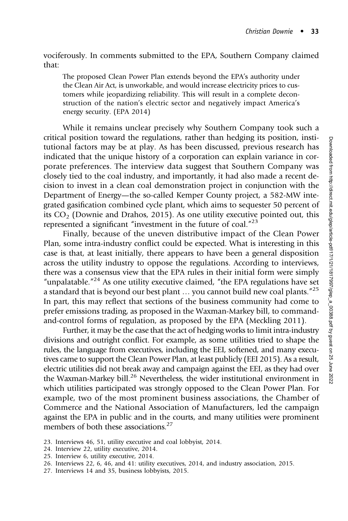vociferously. In comments submitted to the EPA, Southern Company claimed that:

The proposed Clean Power Plan extends beyond the EPA's authority under the Clean Air Act, is unworkable, and would increase electricity prices to customers while jeopardizing reliability. This will result in a complete deconstruction of the nation's electric sector and negatively impact America's energy security. (EPA 2014)

While it remains unclear precisely why Southern Company took such a critical position toward the regulations, rather than hedging its position, institutional factors may be at play. As has been discussed, previous research has indicated that the unique history of a corporation can explain variance in corporate preferences. The interview data suggest that Southern Company was closely tied to the coal industry, and importantly, it had also made a recent decision to invest in a clean coal demonstration project in conjunction with the Department of Energy—the so-called Kemper County project, a 582-MW integrated gasification combined cycle plant, which aims to sequester 50 percent of its  $CO<sub>2</sub>$  (Downie and Drahos, 2015). As one utility executive pointed out, this represented a significant "investment in the future of coal."<sup>23</sup>

Finally, because of the uneven distributive impact of the Clean Power Plan, some intra-industry conflict could be expected. What is interesting in this case is that, at least initially, there appears to have been a general disposition across the utility industry to oppose the regulations. According to interviews, there was a consensus view that the EPA rules in their initial form were simply "unpalatable." <sup>24</sup> As one utility executive claimed, "the EPA regulations have set a standard that is beyond our best plant ... you cannot build new coal plants."<sup>25</sup> In part, this may reflect that sections of the business community had come to prefer emissions trading, as proposed in the Waxman-Markey bill, to commandand-control forms of regulation, as proposed by the EPA (Meckling 2011).

Further, it may be the case that the act of hedging works to limit intra-industry divisions and outright conflict. For example, as some utilities tried to shape the rules, the language from executives, including the EEI, softened, and many executives came to support the Clean Power Plan, at least publicly (EEI 2015). As a result, electric utilities did not break away and campaign against the EEI, as they had over the Waxman-Markey bill.<sup>26</sup> Nevertheless, the wider institutional environment in which utilities participated was strongly opposed to the Clean Power Plan. For example, two of the most prominent business associations, the Chamber of Commerce and the National Association of Manufacturers, led the campaign against the EPA in public and in the courts, and many utilities were prominent members of both these associations.<sup>27</sup>

- 23. Interviews 46, 51, utility executive and coal lobbyist, 2014.
- 24. Interview 22, utility executive, 2014.
- 25. Interview 6, utility executive, 2014.
- 26. Interviews 22, 6, 46, and 41: utility executives, 2014, and industry association, 2015.
- 27. Interviews 14 and 35, business lobbyists, 2015.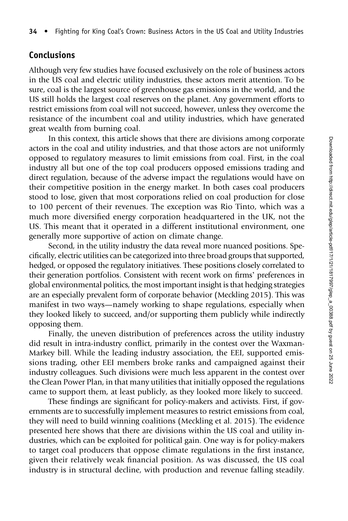### Conclusions

Although very few studies have focused exclusively on the role of business actors in the US coal and electric utility industries, these actors merit attention. To be sure, coal is the largest source of greenhouse gas emissions in the world, and the US still holds the largest coal reserves on the planet. Any government efforts to restrict emissions from coal will not succeed, however, unless they overcome the resistance of the incumbent coal and utility industries, which have generated great wealth from burning coal.

In this context, this article shows that there are divisions among corporate actors in the coal and utility industries, and that those actors are not uniformly opposed to regulatory measures to limit emissions from coal. First, in the coal industry all but one of the top coal producers opposed emissions trading and direct regulation, because of the adverse impact the regulations would have on their competitive position in the energy market. In both cases coal producers stood to lose, given that most corporations relied on coal production for close to 100 percent of their revenues. The exception was Rio Tinto, which was a much more diversified energy corporation headquartered in the UK, not the US. This meant that it operated in a different institutional environment, one generally more supportive of action on climate change.

Second, in the utility industry the data reveal more nuanced positions. Specifically, electric utilities can be categorized into three broad groups that supported, hedged, or opposed the regulatory initiatives. These positions closely correlated to their generation portfolios. Consistent with recent work on firms' preferences in global environmental politics, the most important insight is that hedging strategies are an especially prevalent form of corporate behavior (Meckling 2015). This was manifest in two ways—namely working to shape regulations, especially when they looked likely to succeed, and/or supporting them publicly while indirectly opposing them.

Finally, the uneven distribution of preferences across the utility industry did result in intra-industry conflict, primarily in the contest over the Waxman-Markey bill. While the leading industry association, the EEI, supported emissions trading, other EEI members broke ranks and campaigned against their industry colleagues. Such divisions were much less apparent in the contest over the Clean Power Plan, in that many utilities that initially opposed the regulations came to support them, at least publicly, as they looked more likely to succeed.

These findings are significant for policy-makers and activists. First, if governments are to successfully implement measures to restrict emissions from coal, they will need to build winning coalitions (Meckling et al. 2015). The evidence presented here shows that there are divisions within the US coal and utility industries, which can be exploited for political gain. One way is for policy-makers to target coal producers that oppose climate regulations in the first instance, given their relatively weak financial position. As was discussed, the US coal industry is in structural decline, with production and revenue falling steadily.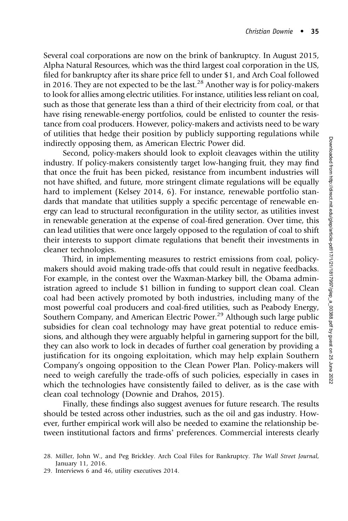Several coal corporations are now on the brink of bankruptcy. In August 2015, Alpha Natural Resources, which was the third largest coal corporation in the US, filed for bankruptcy after its share price fell to under \$1, and Arch Coal followed in 2016. They are not expected to be the last.<sup>28</sup> Another way is for policy-makers to look for allies among electric utilities. For instance, utilities less reliant on coal, such as those that generate less than a third of their electricity from coal, or that have rising renewable-energy portfolios, could be enlisted to counter the resistance from coal producers. However, policy-makers and activists need to be wary of utilities that hedge their position by publicly supporting regulations while indirectly opposing them, as American Electric Power did.

Second, policy-makers should look to exploit cleavages within the utility industry. If policy-makers consistently target low-hanging fruit, they may find that once the fruit has been picked, resistance from incumbent industries will not have shifted, and future, more stringent climate regulations will be equally hard to implement (Kelsey 2014, 6). For instance, renewable portfolio standards that mandate that utilities supply a specific percentage of renewable energy can lead to structural reconfiguration in the utility sector, as utilities invest in renewable generation at the expense of coal-fired generation. Over time, this can lead utilities that were once largely opposed to the regulation of coal to shift their interests to support climate regulations that benefit their investments in cleaner technologies.

Third, in implementing measures to restrict emissions from coal, policymakers should avoid making trade-offs that could result in negative feedbacks. For example, in the contest over the Waxman-Markey bill, the Obama administration agreed to include \$1 billion in funding to support clean coal. Clean coal had been actively promoted by both industries, including many of the most powerful coal producers and coal-fired utilities, such as Peabody Energy, Southern Company, and American Electric Power.<sup>29</sup> Although such large public subsidies for clean coal technology may have great potential to reduce emissions, and although they were arguably helpful in garnering support for the bill, they can also work to lock in decades of further coal generation by providing a justification for its ongoing exploitation, which may help explain Southern Company's ongoing opposition to the Clean Power Plan. Policy-makers will need to weigh carefully the trade-offs of such policies, especially in cases in which the technologies have consistently failed to deliver, as is the case with clean coal technology (Downie and Drahos, 2015).

Finally, these findings also suggest avenues for future research. The results should be tested across other industries, such as the oil and gas industry. However, further empirical work will also be needed to examine the relationship between institutional factors and firms' preferences. Commercial interests clearly

<sup>28.</sup> Miller, John W., and Peg Brickley. Arch Coal Files for Bankruptcy. The Wall Street Journal, January 11, 2016.

<sup>29.</sup> Interviews 6 and 46, utility executives 2014.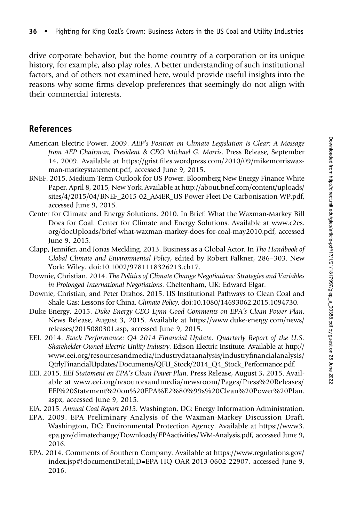drive corporate behavior, but the home country of a corporation or its unique history, for example, also play roles. A better understanding of such institutional factors, and of others not examined here, would provide useful insights into the reasons why some firms develop preferences that seemingly do not align with their commercial interests.

#### References

- American Electric Power. 2009. AEP's Position on Climate Legislation Is Clear: A Message from AEP Chairman, President & CEO Michael G. Morris. Press Release, September 14, 2009. Available at https://grist.files.wordpress.com/2010/09/mikemorriswaxman-markeystatement.pdf, accessed June 9, 2015.
- BNEF. 2015. Medium-Term Outlook for US Power. Bloomberg New Energy Finance White Paper, April 8, 2015, New York. Available at http://about.bnef.com/content/uploads/ sites/4/2015/04/BNEF\_2015-02\_AMER\_US-Power-Fleet-De-Carbonisation-WP.pdf, accessed June 9, 2015.
- Center for Climate and Energy Solutions. 2010. In Brief: What the Waxman-Markey Bill Does for Coal. Center for Climate and Energy Solutions. Available at www.c2es. org/docUploads/brief-what-waxman-markey-does-for-coal-may2010.pdf, accessed June 9, 2015.
- Clapp, Jennifer, and Jonas Meckling. 2013. Business as a Global Actor. In The Handbook of Global Climate and Environmental Policy, edited by Robert Falkner, 286–303. New York: Wiley. doi:10.1002/9781118326213.ch17.
- Downie, Christian. 2014. The Politics of Climate Change Negotiations: Strategies and Variables in Prolonged International Negotiations. Cheltenham, UK: Edward Elgar.
- Downie, Christian, and Peter Drahos. 2015. US Institutional Pathways to Clean Coal and Shale Gas: Lessons for China. Climate Policy. doi:10.1080/14693062.2015.1094730.
- Duke Energy. 2015. Duke Energy CEO Lynn Good Comments on EPA's Clean Power Plan. News Release, August 3, 2015. Available at https://www.duke-energy.com/news/ releases/2015080301.asp, accessed June 9, 2015.
- EEI. 2014. Stock Performance: Q4 2014 Financial Update. Quarterly Report of the U.S. Shareholder-Owned Electric Utility Industry. Edison Electric Institute. Available at http:// www.eei.org/resourcesandmedia/industrydataanalysis/industryfinancialanalysis/ QtrlyFinancialUpdates/Documents/QFU\_Stock/2014\_Q4\_Stock\_Performance.pdf.
- EEI. 2015. EEI Statement on EPA's Clean Power Plan. Press Release, August 3, 2015. Available at www.eei.org/resourcesandmedia/newsroom/Pages/Press%20Releases/ EEI%20Statement%20on%20EPA%E2%80%99s%20Clean%20Power%20Plan. aspx, accessed June 9, 2015.
- EIA. 2015. Annual Coal Report 2013. Washington, DC: Energy Information Administration.
- EPA. 2009. EPA Preliminary Analysis of the Waxman-Markey Discussion Draft. Washington, DC: Environmental Protection Agency. Available at https://www3. epa.gov/climatechange/Downloads/EPAactivities/WM-Analysis.pdf, accessed June 9, 2016.
- EPA. 2014. Comments of Southern Company. Available at https://www.regulations.gov/ index.jsp#!documentDetail;D=EPA-HQ-OAR-2013-0602-22907, accessed June 9, 2016.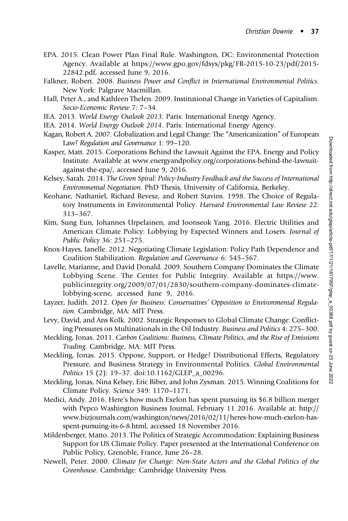- EPA. 2015. Clean Power Plan Final Rule. Washington, DC: Environmental Protection Agency. Available at https://www.gpo.gov/fdsys/pkg/FR-2015-10-23/pdf/2015- 22842.pdf, accessed June 9, 2016.
- Falkner, Robert. 2008. Business Power and Conflict in International Environmental Politics. New York: Palgrave Macmillan.
- Hall, Peter A., and Kathleen Thelen. 2009. Institutional Change in Varieties of Capitalism. Socio-Economic Review 7: 7–34.
- IEA. 2013. World Energy Outlook 2013. Paris: International Energy Agency.
- IEA. 2014. World Energy Outlook 2014. Paris: International Energy Agency.
- Kagan, Robert A. 2007. Globalization and Legal Change: The "Americanization" of European Law? Regulation and Governance 1: 99–120.
- Kasper, Matt. 2015. Corporations Behind the Lawsuit Against the EPA. Energy and Policy Institute. Available at www.energyandpolicy.org/corporations-behind-the-lawsuitagainst-the-epa/, accessed June 9, 2016.
- Kelsey, Sarah. 2014. The Green Spiral: Policy-Industry Feedback and the Success of International Environmental Negotiation. PhD Thesis, University of California, Berkeley.
- Keohane, Nathaniel, Richard Revesz, and Robert Stavins. 1998. The Choice of Regulatory Instruments in Environmental Policy. Harvard Environmental Law Review 22: 313–367.
- Kim, Sung Eun, Johannes Urpelainen, and Joonseok Yang. 2016. Electric Utilities and American Climate Policy: Lobbying by Expected Winners and Losers. Journal of Public Policy 36: 251–275.
- Knox-Hayes, Janelle. 2012. Negotiating Climate Legislation: Policy Path Dependence and Coalition Stabilization. Regulation and Governance 6: 545–567.
- Lavelle, Marianne, and David Donald. 2009. Southern Company Dominates the Climate Lobbying Scene. The Center for Public Integrity. Available at https://www. publicintegrity.org/2009/07/01/2830/southern-company-dominates-climatelobbying-scene, accessed June 9, 2016.
- Layzer, Judith. 2012. Open for Business: Conservatives' Opposition to Environmental Regulation. Cambridge, MA: MIT Press.
- Levy, David, and Ans Kolk. 2002. Strategic Responses to Global Climate Change: Conflicting Pressures on Multinationals in the Oil Industry. Business and Politics 4: 275–300.
- Meckling, Jonas. 2011. Carbon Coalitions: Business, Climate Politics, and the Rise of Emissions Trading. Cambridge, MA: MIT Press.
- Meckling, Jonas. 2015. Oppose, Support, or Hedge? Distributional Effects, Regulatory Pressure, and Business Strategy in Environmental Politics. Global Environmental Politics 15 (2): 19–37. doi:10.1162/GLEP\_a\_00296.
- Meckling, Jonas, Nina Kelsey, Eric Biber, and John Zysman. 2015. Winning Coalitions for Climate Policy. Science 349: 1170–1171.
- Medici, Andy. 2016. Here's how much Exelon has spent pursuing its \$6.8 billion merger with Pepco Washington Business Journal, February 11 2016. Available at: http:// www.bizjournals.com/washington/news/2016/02/11/heres-how-much-exelon-hasspent-pursuing-its-6-8.html, accessed 18 November 2016.
- Mildenberger, Matto. 2013. The Politics of Strategic Accommodation: Explaining Business Support for US Climate Policy. Paper presented at the International Conference on Public Policy, Grenoble, France, June 26–28.
- Newell, Peter. 2000. Climate for Change: Non-State Actors and the Global Politics of the Greenhouse. Cambridge: Cambridge University Press.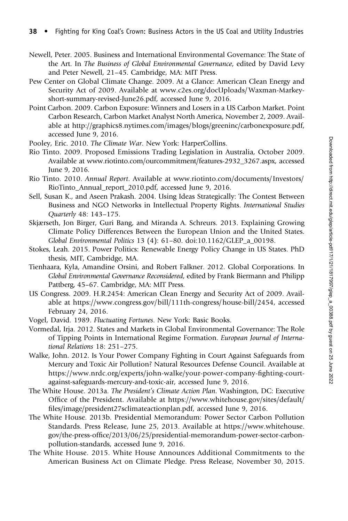- Newell, Peter. 2005. Business and International Environmental Governance: The State of the Art. In The Business of Global Environmental Governance, edited by David Levy and Peter Newell, 21–45. Cambridge, MA: MIT Press.
- Pew Center on Global Climate Change. 2009. At a Glance: American Clean Energy and Security Act of 2009. Available at www.c2es.org/docUploads/Waxman-Markeyshort-summary-revised-June26.pdf, accessed June 9, 2016.
- Point Carbon. 2009. Carbon Exposure: Winners and Losers in a US Carbon Market. Point Carbon Research, Carbon Market Analyst North America, November 2, 2009. Available at http://graphics8.nytimes.com/images/blogs/greeninc/carbonexposure.pdf, accessed June 9, 2016.
- Pooley, Eric. 2010. The Climate War. New York: HarperCollins.
- Rio Tinto. 2009. Proposed Emissions Trading Legislation in Australia, October 2009. Available at www.riotinto.com/ourcommitment/features-2932\_3267.aspx, accessed June 9, 2016.
- Rio Tinto. 2010. Annual Report. Available at www.riotinto.com/documents/ Investors/ RioTinto\_Annual\_report\_2010.pdf, accessed June 9, 2016.
- Sell, Susan K., and Aseen Prakash. 2004. Using Ideas Strategically: The Contest Between Business and NGO Networks in Intellectual Property Rights. International Studies Quarterly 48: 143–175.
- Skjærseth, Jon Birger, Guri Bang, and Miranda A. Schreurs. 2013. Explaining Growing Climate Policy Differences Between the European Union and the United States. Global Environmental Politics 13 (4): 61–80. doi:10.1162/GLEP\_a\_00198.
- Stokes, Leah. 2015. Power Politics: Renewable Energy Policy Change in US States. PhD thesis, MIT, Cambridge, MA.
- Tienhaara, Kyla, Amandine Orsini, and Robert Falkner. 2012. Global Corporations. In Global Environmental Governance Reconsidered, edited by Frank Biermann and Philipp Pattberg, 45–67. Cambridge, MA: MIT Press.
- US Congress. 2009. H.R.2454: American Clean Energy and Security Act of 2009. Available at https://www.congress.gov/bill/111th-congress/house-bill/2454, accessed February 24, 2016.
- Vogel, David. 1989. Fluctuating Fortunes. New York: Basic Books.
- Vormedal, Irja. 2012. States and Markets in Global Environmental Governance: The Role of Tipping Points in International Regime Formation. European Journal of International Relations 18: 251–275.
- Walke, John. 2012. Is Your Power Company Fighting in Court Against Safeguards from Mercury and Toxic Air Pollution? Natural Resources Defense Council. Available at https://www.nrdc.org/experts/john-walke/your-power-company-fighting-courtagainst-safeguards-mercury-and-toxic-air, accessed June 9, 2016.
- The White House. 2013a. The President's Climate Action Plan. Washington, DC: Executive Office of the President. Available at https://www.whitehouse.gov/sites/default/ files/image/president27sclimateactionplan.pdf, accessed June 9, 2016.
- The White House. 2013b. Presidential Memorandum: Power Sector Carbon Pollution Standards. Press Release, June 25, 2013. Available at https://www.whitehouse. gov/the-press-office/2013/06/25/presidential-memorandum-power-sector-carbonpollution-standards, accessed June 9, 2016.
- The White House. 2015. White House Announces Additional Commitments to the American Business Act on Climate Pledge. Press Release, November 30, 2015.